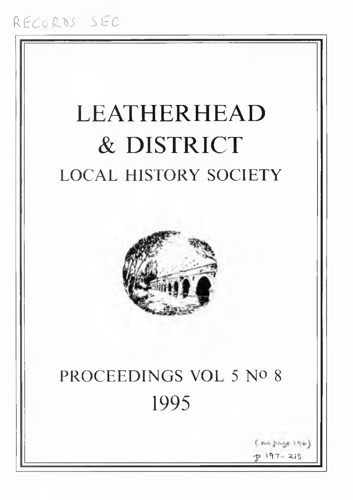# LEATHERHEAD & DISTRICT LOCAL HISTORY SOCIETY



# PROCEEDINGS VOL 5 No 8 1995

no page into p 197-218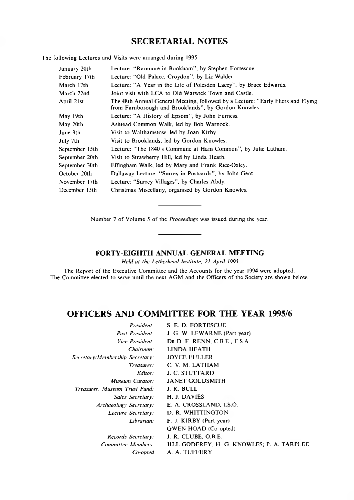## **SECRETARIAL NOTES**

The following Lectures and Visits were arranged during 1995:

| January 20th   | Lecture: "Ranmore in Bookham", by Stephen Fortescue.                                                                                     |
|----------------|------------------------------------------------------------------------------------------------------------------------------------------|
| February 17th  | Lecture: "Old Palace, Croydon", by Liz Walder.                                                                                           |
| March 17th     | Lecture: "A Year in the Life of Polesden Lacey", by Bruce Edwards.                                                                       |
| March 22nd     | Joint visit with LCA to Old Warwick Town and Castle.                                                                                     |
| April 21st     | The 48th Annual General Meeting, followed by a Lecture: "Early Fliers and Flying<br>from Farnborough and Brooklands", by Gordon Knowles. |
| May 19th       | Lecture: "A History of Epsom", by John Furness.                                                                                          |
| May 20th       | Ashtead Common Walk, led by Bob Warnock.                                                                                                 |
| June 9th       | Visit to Walthamstow, led by Joan Kirby.                                                                                                 |
| July 7th       | Visit to Brooklands, led by Gordon Knowles.                                                                                              |
| September 15th | Lecture: "The 1840's Commune at Ham Common", by Julie Latham.                                                                            |
| September 20th | Visit to Strawberry Hill, led by Linda Heath.                                                                                            |
| September 30th | Effingham Walk, led by Mary and Frank Rice-Oxley.                                                                                        |
| October 20th   | Dallaway Lecture: "Surrey in Postcards", by John Gent.                                                                                   |
| November 17th  | Lecture: "Surrey Villages", by Charles Abdy.                                                                                             |
| December 15th  | Christmas Miscellany, organised by Gordon Knowles.                                                                                       |

Number 7 of Volume 5 of the *Proceedings* was issued during the year.

### **FORTY-EIGHTH ANNUAL GENERAL MEETING**

*Held at the Letherhead Institute, 21 April 1995*

The Report of the Executive Committee and the Accounts for the year 1994 were adopted. The Committee elected to serve until the next AGM and the Officers of the Society are shown below.

## **OFFICERS AND COMMITTEE FOR THE YEAR 1995/6**

| JILL GODFREY; H. G. KNOWLES; P. A. TARPLEE |
|--------------------------------------------|
|                                            |
|                                            |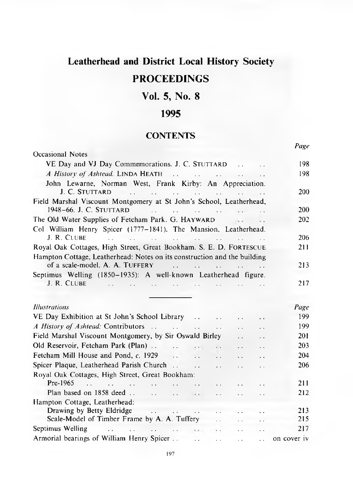# **Leatherhead and District Local History Society**

## **PROCEEDINGS**

## **Vol. 5, No. 8**

## **1995**

## **CONTENTS**

*Page*

| Occasional Notes                                                                                            |                                       |                                              |                                                                                                                                                                                                                                      |                                 |                      |             |
|-------------------------------------------------------------------------------------------------------------|---------------------------------------|----------------------------------------------|--------------------------------------------------------------------------------------------------------------------------------------------------------------------------------------------------------------------------------------|---------------------------------|----------------------|-------------|
| VE Day and VJ Day Commemorations. J. C. STUTTARD                                                            | 198                                   |                                              |                                                                                                                                                                                                                                      |                                 |                      |             |
|                                                                                                             |                                       | 198                                          |                                                                                                                                                                                                                                      |                                 |                      |             |
| John Lewarne, Norman West, Frank Kirby: An Appreciation.                                                    |                                       |                                              |                                                                                                                                                                                                                                      |                                 |                      |             |
| J. C. STUTTARD                                                                                              |                                       |                                              |                                                                                                                                                                                                                                      |                                 |                      | 200         |
| Field Marshal Viscount Montgomery at St John's School, Leatherhead,                                         |                                       |                                              |                                                                                                                                                                                                                                      |                                 |                      |             |
| 1948-66. J. C. STUTTARD<br>the same of the company of the policy of the company                             |                                       |                                              |                                                                                                                                                                                                                                      |                                 |                      | 200         |
| The Old Water Supplies of Fetcham Park. G. HAYWARD                                                          |                                       |                                              |                                                                                                                                                                                                                                      |                                 |                      | 202         |
| Col William Henry Spicer (1777-1841), The Mansion, Leatherhead.                                             |                                       |                                              |                                                                                                                                                                                                                                      |                                 |                      |             |
| J. R. CLUBE<br>the company of the company of the company of the                                             |                                       |                                              |                                                                                                                                                                                                                                      |                                 |                      | 206         |
| Royal Oak Cottages, High Street, Great Bookham. S. E. D. FORTESCUE                                          |                                       |                                              |                                                                                                                                                                                                                                      |                                 |                      | 211         |
| Hampton Cottage, Leatherhead: Notes on its construction and the building                                    |                                       |                                              |                                                                                                                                                                                                                                      |                                 |                      |             |
| of a scale-model. A. A. TUFFERY                                                                             |                                       |                                              | <b>All the second contract of the second contract of the second contract of the second contract of the second contract of the second contract of the second contract of the second contract of the second contract of the second</b> |                                 |                      | 213         |
| Septimus Welling (1850-1935): A well-known Leatherhead figure.<br>J. R. CLUBE<br>the company of the company |                                       |                                              |                                                                                                                                                                                                                                      | and the state of the state      |                      | 217         |
|                                                                                                             |                                       |                                              |                                                                                                                                                                                                                                      |                                 |                      |             |
| <i>Illustrations</i>                                                                                        |                                       |                                              |                                                                                                                                                                                                                                      |                                 |                      | Page        |
| VE Day Exhibition at St John's School Library                                                               |                                       |                                              |                                                                                                                                                                                                                                      |                                 |                      | 199         |
| $\ddotsc$<br>$\ddot{\phantom{0}}$                                                                           |                                       |                                              |                                                                                                                                                                                                                                      |                                 |                      | 199         |
| Field Marshal Viscount Montgomery, by Sir Oswald Birley                                                     |                                       |                                              |                                                                                                                                                                                                                                      | $\ddotsc$                       | $\ddot{\phantom{0}}$ | 201         |
| Old Reservoir, Fetcham Park (Plan)                                                                          |                                       | $\cdots$                                     | $\ddot{\phantom{a}}$                                                                                                                                                                                                                 | $\ddotsc$                       | . .                  | 203         |
| Fetcham Mill House and Pond, c, 1929                                                                        |                                       | $\mathbf{1}$                                 | $\mathbf{r}$                                                                                                                                                                                                                         | $\ddotsc$                       | $\ddot{\phantom{0}}$ | 204         |
| Spicer Plaque, Leatherhead Parish Church                                                                    |                                       | $\mathbf{r}$ , and the state of $\mathbf{r}$ | $\sim$ $\sim$                                                                                                                                                                                                                        | $\ddotsc$                       | $\ddotsc$            | 206         |
| Royal Oak Cottages, High Street, Great Bookham:                                                             |                                       |                                              |                                                                                                                                                                                                                                      |                                 |                      |             |
| $Pre-1965$ .<br>$\mathbf{r}$ and $\mathbf{r}$ and $\mathbf{r}$ and $\mathbf{r}$                             |                                       | $\ddot{\phantom{a}}$                         |                                                                                                                                                                                                                                      |                                 |                      | 211         |
|                                                                                                             |                                       |                                              | $\mathbf{r} \cdot \mathbf{r}$ .                                                                                                                                                                                                      | $\mathbf{z}$ , and $\mathbf{z}$ |                      | 212         |
| Hampton Cottage, Leatherhead:                                                                               |                                       |                                              |                                                                                                                                                                                                                                      |                                 |                      |             |
| $\mathcal{L}_{\mathcal{L}}$<br>Drawing by Betty Eldridge                                                    | $\mathbf{r}$ . The state $\mathbf{r}$ |                                              | $\ddot{\phantom{a}}$                                                                                                                                                                                                                 |                                 |                      | 213         |
| Scale-Model of Timber Frame by A. A. Tuffery                                                                |                                       |                                              |                                                                                                                                                                                                                                      |                                 |                      | 215         |
| Septimus Welling<br>the contract of the contract of the contract of                                         |                                       |                                              |                                                                                                                                                                                                                                      |                                 |                      | 217         |
| Armorial bearings of William Henry Spicer                                                                   |                                       | $\sim$ .                                     | $\alpha$ , $\alpha$                                                                                                                                                                                                                  | $\ddot{\phantom{a}}$ .          | $\ddot{\phantom{a}}$ | on cover iv |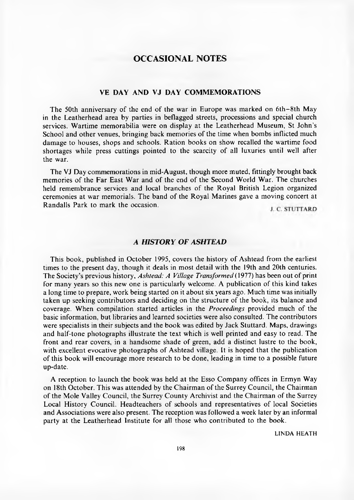### **OCCASIONAL NOTES**

#### **VE DAY AND VJ DAY COMMEMORATIONS**

The 50th anniversary of the end of the war in Europe was marked on 6th–8th May in the Leatherhead area by parties in beflagged streets, processions and special church services. Wartime memorabilia were on display at the Leatherhead Museum, St John's School and other venues, bringing back memories of the time when bombs inflicted much damage to houses, shops and schools. Ration books on show recalled the wartime food shortages while press cuttings pointed to the scarcity of all luxuries until well after the war.

The VJ Day commemorations in mid-August, though more muted, fittingly brought back memories of the Far East War and of the end of the Second World War. The churches held remembrance services and local branches of the Royal British Legion organized ceremonies at war memorials. The band of the Royal Marines gave a moving concert at Randalls Park to mark the occasion.

#### *A HISTORY OF ASHTEAD*

This book, published in October 1995, covers the history of Ashtead from the earliest times to the present day, though it deals in most detail with the 19th and 20th centuries. The Society's previous history, *Ashtead: A Village Transformed* (1977) has been out of print for many years so this new one is particularly welcome. A publication of this kind takes a long time to prepare, work being started on it about six years ago. Much time was initially taken up seeking contributors and deciding on the structure of the book, its balance and coverage. When compilation started articles in the *Proceedings* provided much of the basic information, but libraries and learned societies were also consulted. The contributors were specialists in their subjects and the book was edited by Jack Stuttard. Maps, drawings and half-tone photographs illustrate the text which is well printed and easy to read. The front and rear covers, in a handsome shade of green, add a distinct lustre to the book, with excellent evocative photographs of Ashtead village. It is hoped that the publication of this book will encourage more research to be done, leading in time to a possible future up-date.

A reception to launch the book was held at the Esso Company offices in Ermyn Way on 18th October. This was attended by the Chairman of the Surrey Council, the Chairman of the Mole Valley Council, the Surrey County Archivist and the Chairman of the Surrey Local History Council. Headteachers of schools and representatives of local Societies and Associations were also present. The reception was followed a week later by an informal party at the Leatherhead Institute for all those who contributed to the book.

LINDA HEATH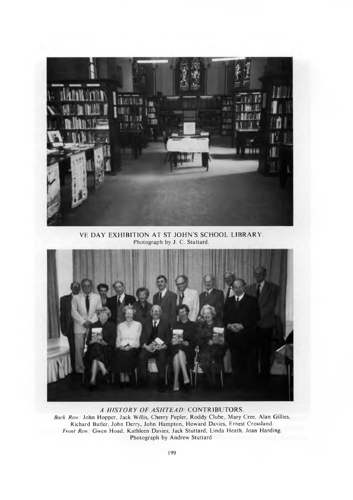

VE DAY EXHIBITION AT ST JOHN'S SCHOOL LIBRARY. Photograph by J. C. Stuttard.

<span id="page-4-0"></span>

*A HISTORY OF ASHTEAD:* CONTRIBUTORS. *Back Row:* John Hopper, Jack Willis, Cherry Pepler, Roddy Clube, Mary Cree, Alan Gillies, Richard Butler, John Derry, John Hampton, Howard Davies, Ernest Crossland. *Front Row:* Gwen Hoad, Kathleen Davies, Jack Stuttard, Linda Heath, Joan Harding. Photograph by Andrew Stuttard.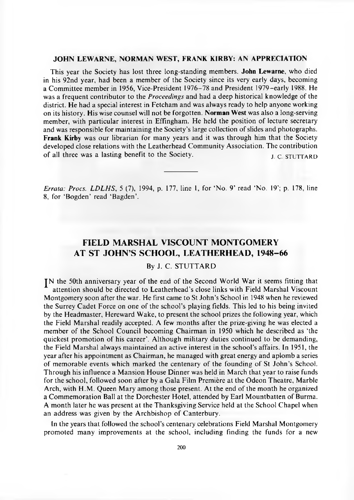#### **JOHN LEWARNE, NORMAN WEST, FRANK KIRBY: AN APPRECIATION**

This year the Society has lost three long-standing members. **John Lewarne,** who died in his 92nd year, had been a member of the Society since its very early days, becoming a Committee member in 1956, Vice-President 1976-78 and President 1979-early 1988. He was a frequent contributor to the *Proceedings* and had a deep historical knowledge of the district. He had a special interest in Fetcham and was always ready to help anyone working on its history. His wise counsel will not be forgotten. **Norman West** was also a long-serving member, with particular interest in Effingham. He held the position of lecture secretary and was responsible for maintaining the Society's large collection of slides and photographs. **Frank Kirby** was our librarian for many years and it was through him that the Society developed close relations with the Leatherhead Community Association. The contribution of all three was a lasting benefit to the Society. J. C. STUTTARD

*Errata: Procs. LDLHS,* 5 (7), 1994, p. 177, line 1, for 'No. 9' read 'No. 19'; p. 178, line 8, for 'Bogden' read 'Bagden'.

### **FIELD MARSHAL VISCOUNT MONTGOMERY AT ST JOHN'S SCHOOL, LEATHERHEAD, 1948-66**

#### By J. C. STUTTARD

IN the 50th anniversary year of the end of the Second World War it seems fitting that attention should be directed to Leatherhead's close links with Field Marshal Viscount Montgomery soon after the war. He first came to St John's School in 1948 when he reviewed the Surrey Cadet Force on one of the school's playing fields. This led to his being invited by the Headmaster, Hereward Wake, to present the school prizes the following year, which the Field Marshal readily accepted. A few months after the prize-giving he was elected a member of the School Council becoming Chairman in 1950 which he described as 'the quickest promotion of his career'. Although military duties continued to be demanding, the Field Marshal always maintained an active interest in the school's affairs. In 1951, the year after his appointment as Chairman, he managed with great energy and aplomb a series of memorable events which marked the centenary of the founding of St John's School. Through his influence a Mansion House Dinner was held in March that year to raise funds for the school, followed soon after by a Gala Film Premiere at the Odeon Theatre, Marble Arch, with H.M. Queen Mary among those present. At the end of the month he organized a Commemoration Ball at the Dorchester Hotel, attended by Earl Mountbatten of Burma. A month later he was present at the Thanksgiving Service held at the School Chapel when an address was given by the Archbishop of Canterbury.

In the years that followed the school's centenary celebrations Field Marshal Montgomery promoted many improvements at the school, including finding the funds for a new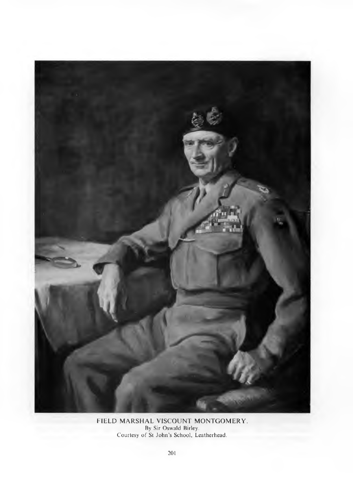

FIELD MARSHAL VISCOUNT MONTGOMERY By Sir Oswald Birley. Courtesy of St John's School, Leatherhead.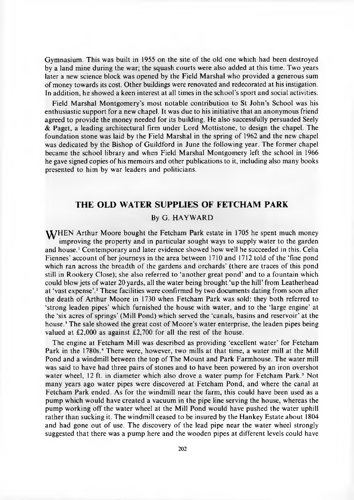Gymnasium. This was built in 1955 on the site of the old one which had been destroyed by a land mine during the war; the squash courts were also added at this time. Two years later a new science block was opened by the Field Marshal who provided a generous sum of money towards its cost. Other buildings were renovated and redecorated at his instigation. In addition, he showed a keen interest at all times in the school's sport and social activities.

Field Marshal Montgomery's most notable contribution to St John's School was his enthusiastic support for a new chapel. It was due to his initiative that an anonymous friend agreed to provide the money needed for its building. He also successfully persuaded Seely & Paget, a leading architectural firm under Lord Mottistone, to design the chapel. The foundation stone was laid by the Field Marshal in the spring of 1962 and the new chapel was dedicated by the Bishop of Guildford in June the following year. The former chapel became the school library and when Field Marshal Montgomery left the school in 1966 he gave signed copies of his memoirs and other publications to it, including also many books presented to him by war leaders and politicians.

### **THE OLD WATER SUPPLIES OF FETCHAM PARK**

#### By G. HAYWARD

<span id="page-7-0"></span>**W**/HEN Arthur Moore bought the Fetcham Park estate in 1705 he spent much money improving the property and in particular sought ways to supply water to the garden and house.' Contemporary and later evidence showed how well he succeeded in this. Celia Fiennes' account of her journeys in the area between 1710 and 1712 told of the 'fine pond which ran across the breadth of the gardens and orchards' (there are traces of this pond still in Rookery Close); she also referred to 'another great pond' and to a fountain which could blow jets of water 20 yards, all the water being brought 'up the hill' from Leatherhead at 'vast expense'.2 These facilities were confirmed by two documents dating from soon after the death of Arthur Moore in 1730 when Fetcham Park was sold: they both referred to 'strong leaden pipes' which furnished the house with water, and to the 'large engine' at the 'six acres of springs' (Mill Pond) which served the 'canals, basins and reservoir' at the house.<sup>3</sup> The sale showed the great cost of Moore's water enterprise, the leaden pipes being valued at £2,000 as against £2,700 for all the rest of the house.

The engine at Fetcham Mill was described as providing 'excellent water' for Fetcham Park in the 1780s.<sup>4</sup> There were, however, two mills at that time, a water mill at the Mill Pond and a windmill between the top of The Mount and Park Farmhouse. The water mill was said to have had three pairs of stones and to have been powered by an iron overshot water wheel, 12 ft. in diameter which also drove a water pump for Fetcham Park.<sup>5</sup> Not many years ago water pipes were discovered at Fetcham Pond, and where the canal at Fetcham Park ended. As for the windmill near the farm, this could have been used as a pump which would have created a vacuum in the pipe line serving the house, whereas the pump working off the water wheel at the Mill Pond would have pushed the water uphill rather than sucking it. The windmill ceased to be insured by the Hankey Estate about 1804 and had gone out of use. The discovery of the lead pipe near the water wheel strongly suggested that there was a pump here and the wooden pipes at different levels could have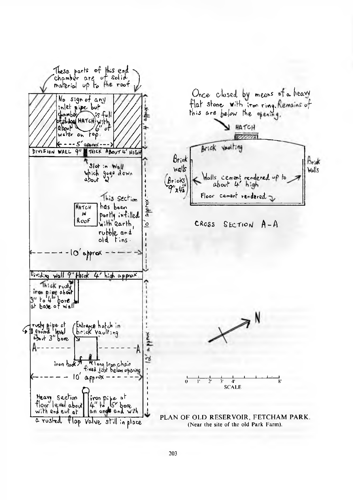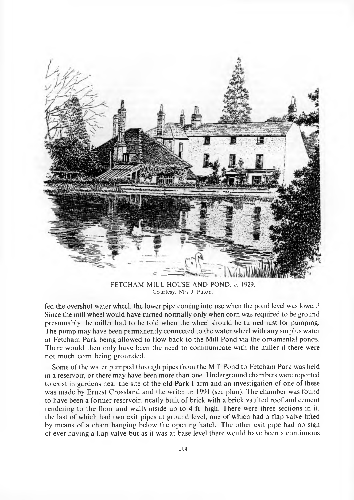

FETCHAM MILL HOUSE AND POND,  $c$ . 1929. Courtesy, Mrs J. Paton.

fed the overshot water wheel, the lower pipe coming into use when the pond level was lower.<sup>6</sup> Since the mill wheel would have turned normally only when corn was required to be ground presumably the miller had to be told when the wheel should be turned just for pumping. The pump may have been permanently connected to the water wheel with any surplus water at Fetcham Park being allowed to flow back to the Mill Pond via the ornamental ponds. There would then only have been the need to communicate with the miller if there were not much corn being grounded.

Some of the water pumped through pipes from the Mill Pond to Fetcham Park was held in a reservoir, or there may have been more than one. Underground chambers were reported to exist in gardens near the site of the old Park Farm and an investigation of one of these was made by Ernest Crossland and the writer in 1991 (see plan). The chamber was found to have been a former reservoir, neatly built of brick with a brick vaulted roof and cement rendering to the floor and walls inside up to 4 ft. high. There were three sections in it, the last of which had two exit pipes at ground level, one of which had a flap valve lifted by means of a chain hanging below the opening hatch. The other exit pipe had no sign of ever having a flap valve but as it was at base level there would have been a continuous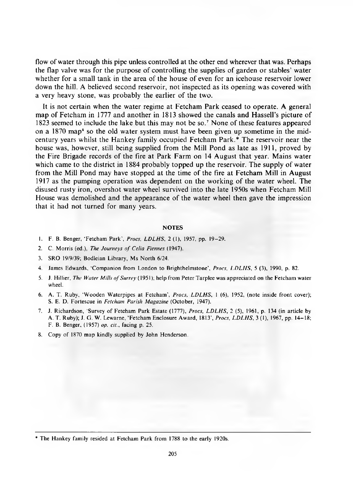flow of water through this pipe unless controlled at the other end wherever that was. Perhaps the flap valve was for the purpose of controlling the supplies of garden or stables' water whether for a small tank in the area of the house of even for an icehouse reservoir lower down the hill. A believed second reservoir, not inspected as its opening was covered with a very heavy stone, was probably the earlier of the two.

It is not certain when the water regime at Fetcham Park ceased to operate. A general map of Fetcham in 1777 and another in 1813 showed the canals and Hassell's picture of 1823 seemed to include the lake but this may not be so.7 None of these features appeared on a  $1870$  map<sup>8</sup> so the old water system must have been given up sometime in the midcentury years whilst the Hankey family occupied Fetcham Park.\* The reservoir near the house was, however, still being supplied from the Mill Pond as late as 1911, proved by the Fire Brigade records of the fire at Park Farm on 14 August that year. Mains water which came to the district in 1884 probably topped up the reservoir. The supply of water from the Mill Pond may have stopped at the time of the fire at Fetcham Mill in August 1917 as the pumping operation was dependent on the working of the water wheel. The disused rusty iron, overshot water wheel survived into the late 1950s when Fetcham Mill House was demolished and the appearance of the water wheel then gave the impression that it had not turned for many years.

#### **NOTES**

- 1. F. B. Benger, 'Fetcham Park', *Procs, LDLHS*, 2 (1), 1957, pp. 19-29.
- 2. C. Morris (ed.), *The Journeys of Celia Fiennes* (1947).
- 3. SRO 19/9/39; Bodleian Library, Ms North 6/24.
- 4. James Edwards, 'Companion from London to Brighthelmstone', *Procs, LDLHS*, 5 (3), 1990, p. 82.
- 5. J. Hillier, *The Water Mills of Surrey* (1951); help from Peter Tarplee was appreciated on the Fetcham water wheel.
- 6. A. T. Ruby, 'Wooden Waterpipes at Fetcham', *Procs, LDLHS*, 1 (6), 1952, (note inside front cover); S. E. D. Fortescue in *Fetcham Parish Magazine* (October, 1947).
- 7. J. Richardson, 'Survey of Fetcham Park Estate (1777), *Procs, LDLHS*, 2 (5), 1961, p. 134 (in article by A. T. Ruby); J. G. W. Lewarne, 'Fetcham Enclosure Award, 1813', *Procs, LDLHS*, 3 (1), 1967, pp. 14-18; F. B. Benger, (1957) *op. cit.,* facing p. 25.
- 8. Copy of 1870 map kindly supplied by John Henderson.

<sup>\*</sup> The Hankey family resided at Fetcham Park from 1788 to the early 1920s.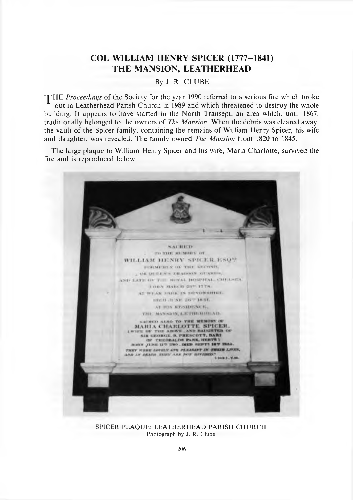## **COL WILLIAM HENRY SPICER (1777-1841) THE MANSION, LEATHERHEAD**

By J. R. CLUBE

THE Proceedings of the Society for the year 1990 referred to a serious fire which broke out in Leatherhead Parish Church in 1989 and which threatened to destroy the whole building. It appears to have started in the North Transept, an area which, until 1867, traditionally belonged to the owners of *The Mansion.* When the debris was cleared away, the vault of the Spicer family, containing the remains of William Henry Spicer, his wife and daughter, was revealed. The family owned *The Mansion* from 1820 to 1845.

The large plaque to William Henry Spicer and his wife, Maria Charlotte, survived the fire and is reproduced below.



SPICER PLAQUE: LEATHERHEAD PARISH CHURCH. Photograph by J. R. Clube.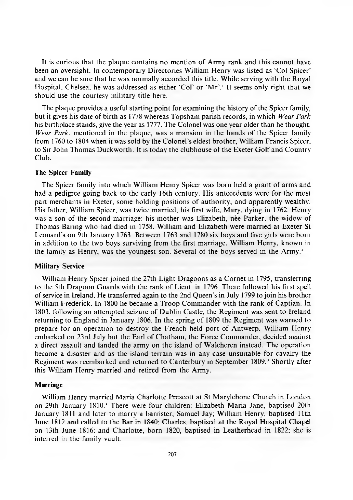It is curious that the plaque contains no mention of Army rank and this cannot have been an oversight. In contemporary Directories William Henry was listed as 'Col Spicer' and we can be sure that he was normally accorded this title. While serving with the Royal Hospital, Chelsea, he was addressed as either 'Col' or 'Mr'.<sup>1</sup> It seems only right that we should use the courtesy military title here.

The plaque provides a useful starting point for examining the history of the Spicer family, but it gives his date of birth as 1778 whereas Topsham parish records, in which *Wear Park* his birthplace stands, give the year as 1777. The Colonel was one year older than he thought. *Wear Park*, mentioned in the plaque, was a mansion in the hands of the Spicer family from 1760 to 1804 when it was sold by the Colonel's eldest brother, William Francis Spicer, to Sir John Thomas Duckworth. It is today the clubhouse of the Exeter Golf and Country Club.

#### **The Spicer Family**

The Spicer family into which William Henry Spicer was born held a grant of arms and had a pedigree going back to the early 16th century. His antecedents were for the most part merchants in Exeter, some holding positions of authority, and apparently wealthy. His father, William Spicer, was twice married, his first wife, Mary, dying in 1762. Henry was a son of the second marriage: his mother was Elizabeth, nee Parker, the widow of Thomas Baring who had died in 1758. William and Elizabeth were married at Exeter St Leonard's on 9th January 1763. Between 1763 and 1780 six boys and five girls were born in addition to the two boys surviving from the first marriage. William Henry, known in the family as Henry, was the youngest son. Several of the boys served in the Army.2

#### **Military Service**

William Henry Spicer joined the 27th Light Dragoons as a Cornet in 1795, transferring to the 5th Dragoon Guards with the rank of Lieut, in 1796. There followed his first spell of service in Ireland. He transferred again to the 2nd Queen's in July 1799 to join his brother William Frederick. In 1800 he became a Troop Commander with the rank of Captian. In 1803, following an attempted seizure of Dublin Castle, the Regiment was sent to Ireland returning to England in January 1806. In the spring of 1809 the Regiment was warned to prepare for an operation to destroy the French held port of Antwerp. William Henry embarked on 23rd July but the Earl of Chatham, the Force Commander, decided against a direct assault and landed the army on the island of Walcheren instead. The operation became a disaster and as the island terrain was in any case unsuitable for cavalry the Regiment was reembarked and returned to Canterbury in September 1809.<sup>3</sup> Shortly after this William Henry married and retired from the Army.

#### **Marriage**

William Henry married Maria Charlotte Prescott at St Marylebone Church in London on 29th January 1810.4 There were four children: Elizabeth Maria Jane, baptised 20th January 1811 and later to marry a barrister, Samuel Jay; William Henry, baptised 11th June 1812 and called to the Bar in 1840; Charles, baptised at the Royal Hospital Chapel on 13th June 1816; and Charlotte, born 1820, baptised in Leatherhead in 1822; she is interred in the family vault.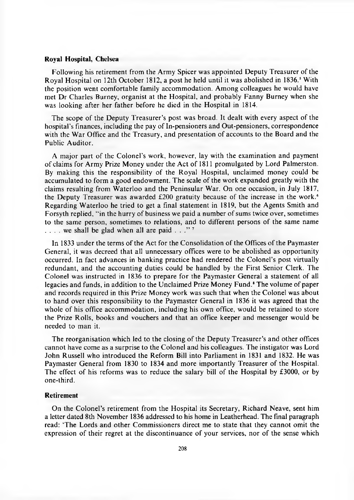#### **Royal Hospital, Chelsea**

Following his retirement from the Army Spicer was appointed Deputy Treasurer of the Royal Hospital on 12th October 1812, a post he held until it was abolished in 1836.<sup>5</sup> With the position went comfortable family accommodation. Among colleagues he would have met Dr Charles Burney, organist at the Hospital, and probably Fanny Burney when she was looking after her father before he died in the Hospital in 1814.

The scope of the Deputy Treasurer's post was broad. It dealt with every aspect of the hospital's finances, including the pay of In-pensioners and Out-pensioners, correspondence with the War Office and the Treasury, and presentation of accounts to the Board and the Public Auditor.

A major part of the Colonel's work, however, lay with the examination and payment of claims for Army Prize Money under the Act of 1811 promulgated by Lord Palmerston. By making this the responsibility of the Royal Hospital, unclaimed money could be accumulated to form a good endowment. The scale of the work expanded greatly with the claims resulting from Waterloo and the Peninsular War. On one occasion, in July 1817, the Deputy Treasurer was awarded £200 gratuity because of the increase in the work.<sup>6</sup> Regarding Waterloo he tried to get a final statement in 1819, but the Agents Smith and Forsyth replied, "in the hurry of business we paid a number of sums twice over, sometimes to the same person, sometimes to relations, and to different persons of the same name  $\ldots$  we shall be glad when all are paid  $\ldots$ "

In 1833 under the terms of the Act for the Consolidation of the Offices of the Paymaster General, it was decreed that all unnecessary offices were to be abolished as opportunity occurred. In fact advances in banking practice had rendered the Colonel's post virtually redundant, and the accounting duties could be handled by the First Senior Clerk. The Colonel was instructed in 1836 to prepare for the Paymaster General a statement of all legacies and funds, in addition to the Unclaimed Prize Money Fund.<sup>8</sup> The volume of paper and records required in this Prize Money work was such that when the Colonel was about to hand over this responsibility to the Paymaster General in 1836 it was agreed that the whole of his office accommodation, including his own office, would be retained to store the Prize Rolls, books and vouchers and that an office keeper and messenger would be needed to man it.

The reorganisation which led to the closing of the Deputy Treasurer's and other offices cannot have come as a surprise to the Colonel and his colleagues. The instigator was Lord John Russell who introduced the Reform Bill into Parliament in 1831 and 1832. He was Paymaster General from 1830 to 1834 and more importantly Treasurer of the Hospital. The effect of his reforms was to reduce the salary bill of the Hospital by £3000, or by one-third.

#### **Retirement**

On the Colonel's retirement from the Hospital its Secretary, Richard Neave, sent him a letter dated 8th November 1836 addressed to his home in Leatherhead. The final paragraph read: 'The Lords and other Commissioners direct me to state that they cannot omit the expression of their regret at the discontinuance of your services, nor of the sense which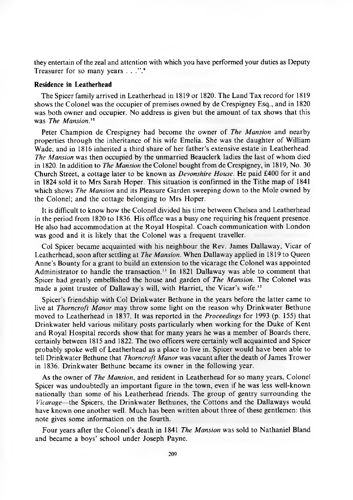they entertain of the zeal and attention with which you have performed your duties as Deputy Treasurer for so many years  $\ldots$ ".<sup>9</sup>

#### **Residence in Leatherhead**

The Spicer family arrived in Leatherhead in 1819 or 1820. The Land Tax record for 1819 shows the Colonel was the occupier of premises owned by de Crespigney Esq., and in 1820 was both owner and occupier. No address is given but the amount of tax shows that this was *The Mansion.'°*

Peter Champion de Crespigney had become the owner of *The Mansion* and nearby properties through the inheritance of his wife Emelia. She was the daughter of William Wade, and in 1816 inherited a third share of her father's extensive estate in Leatherhead. *The Mansion* was then occupied by the unmarried Beauclerk ladies the last of whom died in 1820. In addition to *The Mansion* the Colonel bought from de Crespigney, in 1819, No. 30 Church Street, a cottage later to be known as *Devonshire House.* He paid £400 for it and in 1824 sold it to Mrs Sarah Hoper. This situation is confirmed in the Tithe map of 1841 which shows *The Mansion* and its Pleasure Garden sweeping down to the Mole owned by the Colonel; and the cottage belonging to Mrs Hoper.

It is difficult to know how the Colonel divided his time between Chelsea and Leatherhead in the period from 1820 to 1836. His office was a busy one requiring his frequent presence. He also had accommodation at the Royal Hospital. Coach communication with London was good and it is likely that the Colonel was a frequent traveller.

Col Spicer became acquainted with his neighbour the Rev. James Dallaway, Vicar of Leatherhead, soon after settling at *The Mansion.* When Dallaway applied in 1819 to Queen Anne's Bounty for a grant to build an extension to the vicarage the Colonel was appointed Administrator to handle the transaction." In 1821 Dallaway was able to comment that Spicer had greatly embellished the house and garden of *The Mansion.* The Colonel was made a joint trustee of Dallaway's will, with Harriet, the Vicar's wife.<sup>12</sup>

Spicer's friendship with Col Drinkwater Bethune in the years before the latter came to live at *Thorncroft Manor* may throw some light on the reason why Drinkwater Bethune moved to Leatherhead in 1837. It was reported in the *Proceedings* for 1993 (p. 155) that Drinkwater held various military posts particularly when working for the Duke of Kent and Royal Hospital records show that for many years he was a member of Boards there, certainly between 1815 and 1822. The two officers were certainly well acquainted and Spicer probably spoke well of Leatherhead as a place to live in. Spicer would have been able to tell Drinkwater Bethune that *Thorncroft Manor* was vacant after the death of James Trower in 1836. Drinkwater Bethune became its owner in the following year.

As the owner of *The Mansion*, and resident in Leatherhead for so many years, Colonel Spicer was undoubtedly an important figure in the town, even if he was less well-known nationally than some of his Leatherhead friends. The group of gentry surrounding the *Vicarage*—the Spicers, the Drinkwater Bethunes, the Cottons and the Dallaways would have known one another well. Much has been written about three of these gentlemen: this note gives some information on the fourth.

Four years after the Colonel's death in 1841 *The Mansion* was sold to Nathaniel Bland and became a boys' school under Joseph Payne.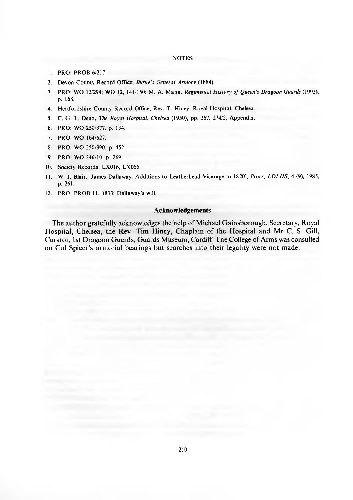#### **NOTES**

- 1. PRO: PROB 6/217.
- 2. Devon County Record Office; *Burke's General Armory* (1884).
- 3. PRO: WO 12/294; WO 12, 141/150; M. A. Mann, *Regimental History of Queen's Dragoon Guards* (1993), p. 168.
- 4. Hertfordshire County Record Office; Rev. T. Hiney, Royal Hospital, Chelsea.
- 5. C. G. T. Dean, *The Royal Hospital, Chelsea* (1950), pp. 267, 274/5, Appendix.
- 6. PRO: WO 250/377, p. 134.
- 7. PRO: WO 164/627.
- 8. PRO: WO 250/390, p. 452.
- 9. PRO: WO 246/10, p. 269.
- 10. Society Records: LX016, LX055.
- 11. W. J. Blair, 'James Dallaway: Additions to Leatherhead Vicarage in 1820', *Procs, LDLHS*, 4 (9), 1985, p. 261.
- 12. PRO: PROB 11, 1833: Dallaway's will.

#### **Acknowledgements**

The author gratefully acknowledges the help of Michael Gainsborough, Secretary, Royal Hospital, Chelsea, the Rev. Tim Hiney, Chaplain of the Hospital and Mr C. S. Gill, Curator, 1st Dragoon Guards, Guards Museum, Cardiff. The College of Arms was consulted on Col Spicer's armorial bearings but searches into their legality were not made.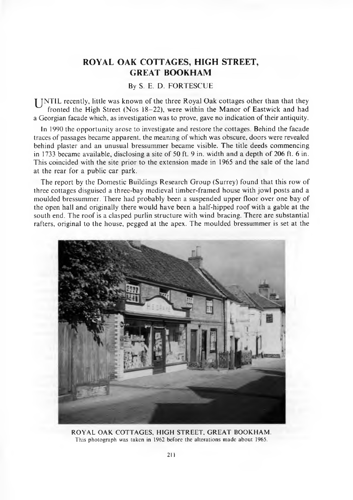### <span id="page-16-0"></span>**ROYAL OAK COTTAGES, HIGH STREET, GREAT BOOKHAM**

#### By S. E. D. FORTESCUE

**I** JNTIL recently, little was known of the three Royal Oak cottages other than that they fronted the High Street (Nos  $18-22$ ), were within the Manor of Eastwick and had a Georgian facade which, as investigation was to prove, gave no indication of their antiquity.

In 1990 the opportunity arose to investigate and restore the cottages. Behind the facade traces of passages became apparent, the meaning of which was obscure, doors were revealed behind plaster and an unusual bressummer became visible. The title deeds commencing in 1733 became available, disclosing a site of 50 ft. 9 in. width and a depth of 206 ft. 6 in. This coincided with the site prior to the extension made in 1965 and the sale of the land at the rear for a public car park.

The report by the Domestic Buildings Research Group (Surrey) found that this row of three cottages disguised a three-bay medieval timber-framed house with jowl posts and a moulded bressummer. There had probably been a suspended upper floor over one bay of the open hall and originally there would have been a half-hipped roof with a gable at the south end. The roof is a clasped purlin structure with wind bracing. There are substantial rafters, original to the house, pegged at the apex. The moulded bressummer is set at the



ROYAL OAK COTTAGES, HIGH STREET, GREAT BOOKHAM. This photograph was taken in 1962 before the alterations made about 1965.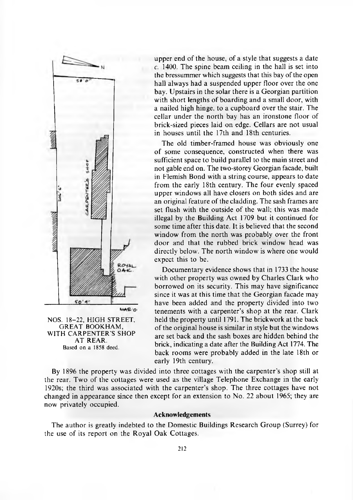

**NOS. 18-22, HIGH STREET, GREAT BOOKHAM, WITH CARPENTER'S SHOP AT REAR.** Based on a 1858 deed.

upper end of the house, of a style that suggests a date  $c.$  1400. The spine beam ceiling in the hall is set into the bressummer which suggests that this bay of the open hall always had a suspended upper floor over the one bay. Upstairs in the solar there is a Georgian partition with short lengths of boarding and a small door, with a nailed high hinge, to a cupboard over the stair. The cellar under the north bay has an ironstone floor of brick-sized pieces laid on edge. Cellars are not usual in houses until the 17th and 18th centuries.

The old timber-framed house was obviously one of some consequence, constructed when there was sufficient space to build parallel to the main street and not gable end on. The two-storey Georgian facade, built in Flemish Bond with a string course, appears to date from the early 18th century. The four evenly spaced upper windows all have closers on both sides and are an original feature of the cladding. The sash frames are set flush with the outside of the wall; this was made illegal by the Building Act 1709 but it continued for some time after this date. It is believed that the second window from the north was probably over the front door and that the rubbed brick window head was directly below. The north window is where one would expect this to be.

Documentary evidence shows that in 1733 the house with other property was owned by Charles Clark who borrowed on its security. This may have significance since it was at this time that the Georgian facade may have been added and the property divided into two tenements with a carpenter's shop at the rear. Clark held the property until 1791. The brickwork at the back of the original house is similar in style but the windows are set back and the sash boxes are hidden behind the brick, indicating a date after the Building Act 1774. The back rooms were probably added in the late 18th or early 19th century.

By 1896 the property was divided into three cottages with the carpenter's shop still at the rear. Two of the cottages were used as the village Telephone Exchange in the early 1920s; the third was associated with the carpenter's shop. The three cottages have not changed in appearance since then except for an extension to No. 22 about 1965; they are now privately occupied.

#### **Acknowledgements**

The author is greatly indebted to the Domestic Buildings Research Group (Surrey) for the use of its report on the Royal Oak Cottages.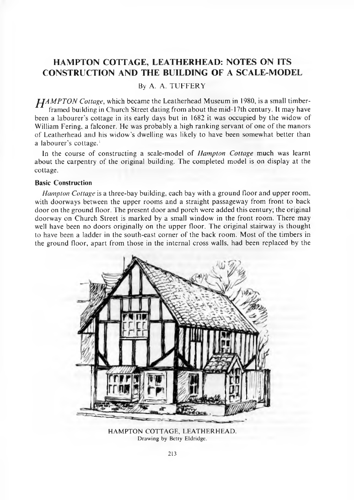### **HAMPTON COTTAGE, LEATHERHEAD: NOTES ON ITS CONSTRUCTION AND THE BUILDING OF A SCALE-MODEL**

#### By A. A. TUFFERY

*J-JAMPTON Cottage*, which became the Leatherhead Museum in 1980, is a small timberframed building in Church Street dating from about the mid-17th century. It may have been a labourer's cottage in its early days but in 1682 it was occupied by the widow of William Fering, a falconer. He was probably a high ranking servant of one of the manors of Leatherhead and his widow's dwelling was likely to have been somewhat better than a labourer's cottage.<sup>1</sup>

In the course of constructing a scale-model of *Hampton Cottage* much was learnt about the carpentry of the original building. The completed model is on display at the cottage.

#### **Basic Construction**

*Hampton Cottage* is a three-bay building, each bay with a ground floor and upper room, with doorways between the upper rooms and a straight passageway from front to back door on the ground floor. The present door and porch were added this century; the original doorway on Church Street is marked by a small window in the front room. There may well have been no doors originally on the upper floor. The original stairway is thought to have been a ladder in the south-east corner of the back room. Most of the timbers in the ground floor, apart from those in the internal cross walls, had been replaced by the



HAMPTON COTTAGE, LEATHERHEAD. Drawing by Betty Eldridge.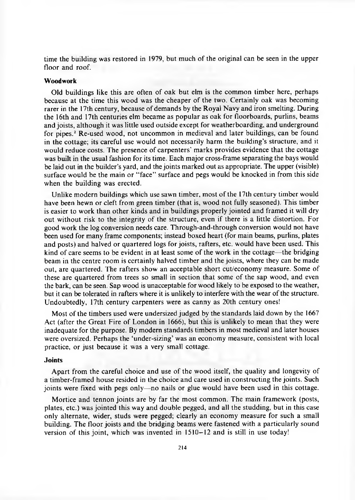time the building was restored in 1979, but much of the original can be seen in the upper floor and roof.

#### **Woodwork**

Old buildings like this are often of oak but elm is the common timber here, perhaps because at the time this wood was the cheaper of the two. Certainly oak was becoming rarer in the 17th century, because of demands by the Royal Navy and iron smelting. During the 16th and 17th centuries elm became as popular as oak for floorboards, purlins, beams and joists, although it was little used outside except for weatherboarding, and underground for pipes.<sup>2</sup> Re-used wood, not uncommon in medieval and later buildings, can be found in the cottage; its careful use would not necessarily harm the building's structure, and it would reduce costs. The presence of carpenters' marks provides evidence that the cottage was built in the usual fashion for its time. Each major cross-frame separating the bays would be laid out in the builder's yard, and the joints marked out as appropriate. The upper (visible) surface would be the main or "face" surface and pegs would be knocked in from this side when the building was erected.

Unlike modern buildings which use sawn timber, most of the 17th century timber would have been hewn or cleft from green timber (that is, wood not fully seasoned). This timber is easier to work than other kinds and in buildings properly jointed and framed it will dry out without risk to the integrity of the structure, even if there is a little distortion. For good work the log conversion needs care. Through-and-through conversion would not have been used for many frame components; instead boxed heart (for main beams, purlins, plates and posts) and halved or quartered logs for joists, rafters, etc. would have been used. This kind of care seems to be evident in at least some of the work in the cottage—the bridging beam in the centre room is certainly halved timber and the joists, where they can be made out, are quartered. The rafters show an acceptable short cut/economy measure. Some of these are quartered from trees so small in section that some of the sap wood, and even the bark, can be seen. Sap wood is unacceptable for wood likely to be exposed to the weather, but it can be tolerated in rafters where it is unlikely to interfere with the wear of the structure. Undoubtedly, 17th century carpenters were as canny as 20th century ones!

Most of the timbers used were undersized judged by the standards laid down by the 1667 Act (after the Great Fire of London in 1666), but this is unlikely to mean that they were inadequate for the purpose. By modern standards timbers in most medieval and later houses were oversized. Perhaps the 'under-sizing' was an economy measure, consistent with local practice, or just because it was a very small cottage.

#### **Joints**

Apart from the careful choice and use of the wood itself, the quality and longevity of a timber-framed house resided in the choice and care used in constructing the joints. Such joints were fixed with pegs only—no nails or glue would have been used in this cottage.

Mortice and tennon joints are by far the most common. The main framework (posts, plates, etc.) was jointed this way and double pegged, and all the studding, but in this case only alternate, wider, studs were pegged; clearly an economy measure for such a small building. The floor joists and the bridging beams were fastened with a particularly sound version of this joint, which was invented in 1510-12 and is still in use today!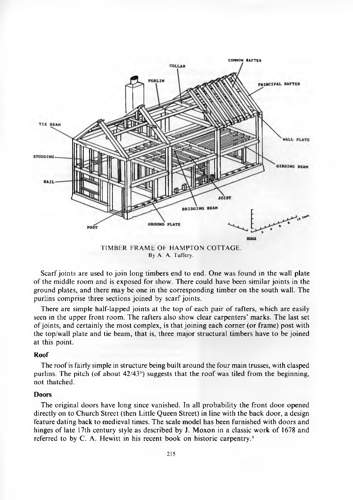

TIMBER FRAME OF HAMPTON COTTAGE. By A. A. Tuffery.

Scarf joints are used to join long timbers end to end. One was found in the wall plate of the middle room and is exposed for show. There could have been similar joints in the ground plates, and there may be one in the corresponding timber on the south wall. The purlins comprise three sections joined by scarf joints.

There are simple half-lapped joints at the top of each pair of rafters, which are easily seen in the upper front room. The rafters also show clear carpenters' marks. The last set of joints, and certainly the most complex, is that joining each corner (or frame) post with the top/wall plate and tie beam, that is, three major structural timbers have to be joined at this point.

#### **Roof**

The roof is fairly simple in structure being built around the four main trusses, with clasped purlins. The pitch (of about  $42/43^{\circ}$ ) suggests that the roof was tiled from the beginning, not thatched.

#### **Doors**

The original doors have long since vanished. In all probability the front door opened directly on to Church Street (then Little Queen Street) in line with the back door, a design feature dating back to medieval times. The scale model has been furnished with doors and hinges of late 17th century style as described by J. Moxon in a classic work of 1678 and referred to by C. A. Hewitt in his recent book on historic carpentry.<sup>3</sup>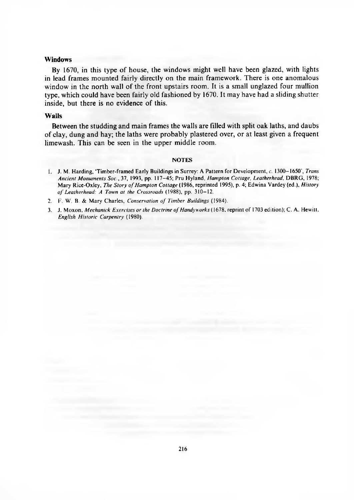#### **Windows**

By 1670, in this type of house, the windows might well have been glazed, with lights in lead frames mounted fairly directly on the main framework. There is one anomalous window in the north wall of the front upstairs room. It is a small unglazed four mullion type, which could have been fairly old fashioned by 1670. It may have had a sliding shutter inside, but there is no evidence of this.

#### **Walls**

Between the studding and main frames the walls are filled with split oak laths, and daubs of clay, dung and hay; the laths were probably plastered over, or at least given a frequent limewash. This can be seen in the upper middle room.

#### **NOTES**

1. J. M. Harding, 'Timber-framed Early Buildings in Surrey: A Pattern for Development, *c.* 1300-1650', *Trans Ancient M onuments Soc.,* 37, 1993, pp. 117-45; Pru H yland, *Hampton Cottage, Leatherhead,* DBRG , 1978; Mary Rice-Oxley, *The Story of Hampton Cottage* (1986, reprinted 1995), p. 4; Edwina Vardey (ed.), *History o f Leatherhead: A Town at the Crossroads* (1988), pp. 310-12.

2. F. W. B. & Mary Charles, *Conservation of Timber Buildings* (1984).

3. J. Moxon, *Mechanick Exercises or the Doctrine of Handyworks* (1678, reprint of 1703 edition); C. A. Hewitt, *English Historic Carpentry* (1980).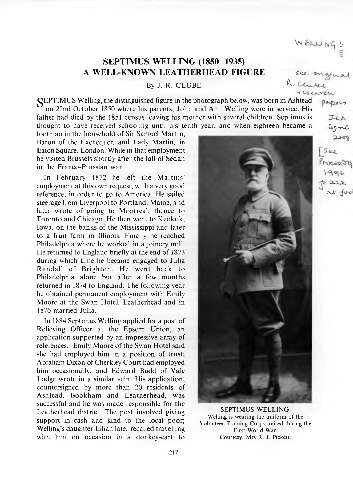### **SEPTIMUS WELLING (1850-1935) A WELL-KNOWN LEATHERHEAD FIGURE ^**

By J. R. CLUBE R. Clubs

**GEPTIMUS** Welling, the distinguished figure in the photograph below, was born in Ashtead  $p_{\infty}p_{\infty}$ on 22nd October 1850 where his parents, John and Ann Welling were in service. His father had died by the 1851 census leaving his mother with several children. Septimus is thought to have received schooling until his tenth year; and when eighteen became a

footman in the household of Sir Samuel Martin. Baron of the Exchequer, and Lady Martin, in Eaton Square, London. While in that employment he visited Brussels shortly after the fall of Sedan in the Franco-Prussian war.

In February 1872 he left the Martins' employment at this own request, with a very good reference, in order to go to America. He sailed steerage from Liverpool to Portland, Maine, and later wrote of going to Montreal, thence to Toronto and Chicago. He then went to Keokuk, Iowa, on the banks of the Mississippi and later to a fruit farm in Illinois. Finally he reached Philadelphia where he worked in a joinery mill. He returned to England briefly at the end of 1873 during which time he became engaged to Julia Randall of Brighton. He went back to Philadelphia alone but after a few months returned in 1874 to England. The following year he obtained permanent employment with Emily Moore at the Swan Hotel, Leatherhead and in 1876 married Julia.

In 1884 Septimus Welling applied for a post of Relieving Officer at the Epsom Union, an application supported by an impressive array of references.<sup>1</sup> Emily Moore of the Swan Hotel said she had employed him in a position of trust; Abraham Dixon of Cherkley Court had employed him occasionally; and Edward Budd of Vale Lodge wrote in a similar vein. His application, countersigned by more than 20 residents of Ashtead, Bookham and Leatherhead, was successful and he was made responsible for the Leatherhead district. The post involved giving support in cash and kind to the local poor; Welling's daughter Lilian later recalled travelling with him on occasion in a donkey-cart to



SEPTIMUS WELLING. Welling is wearing the uniform of the Volunteer Training Corps, raised during the First World War. Courtesy, Mrs R. J. Pickett.

*dry-r^t.*  $2000$ 

W ELLINGS

Viscarca

See reeso  $\lambda$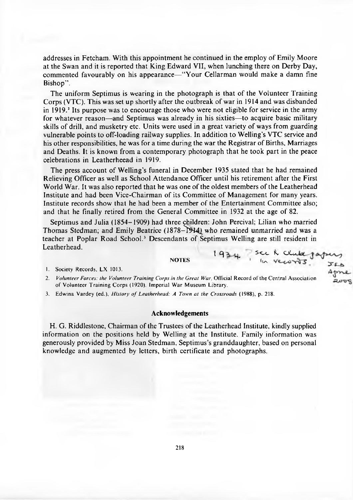addresses in Fetcham. With this appointment he continued in the employ of Emily Moore at the Swan and it is reported that King Edward VII, when lunching there on Derby Day, commented favourably on his appearance—" Your Cellarman would make a damn fine Bishop".

The uniform Septimus is wearing in the photograph is that of the Volunteer Training Corps (VTC). This was set up shortly after the outbreak of war in 1914 and was disbanded in  $1919<sup>2</sup>$  Its purpose was to encourage those who were not eligible for service in the army for whatever reason—and Septimus was already in his sixties—to acquire basic military skills of drill, and musketry etc. Units were used in a great variety of ways from guarding vulnerable points to off-loading railway supplies. In addition to Welling's VTC service and his other responsibilities, he was for a time during the war the Registrar of Births, Marriages and Deaths. It is known from a contemporary photograph that he took part in the peace celebrations in Leatherheead in 1919.

The press account of Welling's funeral in December 1935 stated that he had remained Relieving Officer as well as School Attendance Officer until his retirement after the First World War. It was also reported that he was one of the oldest members of the Leatherhead Institute and had been Vice-Chairman of its Committee of Management for many years. Institute records show that he had been a member of the Entertainment Committee also; and that he finally retired from the General Committee in 1932 at the age of 82.

Septimus and Julia (1854-1909) had three children: John Percival; Lilian who married Thomas Stedman; and Emily Beatrice (1878-T914) who remained unmarried and was a teacher at Poplar Road School.3 Descendants of Septimus Welling are still resident in Leatherhead.

 $NOTES$   $1934$  see to the

1. Society Records. LX 1013.

Apne 2. *Volunteer Forces: the Volunteer Training Corps in the Great War*, Official Record of the Central Association of Volunteer Training Corps (1920). Imperial War Museum Library.

3. Edwina Vardey (ed.), *History of Leatherhead: A Town at the Crossroads* (1988), p. 218.

#### **Acknowledgements**

H. G. Riddlestone, Chairman of the Trustees of the Leatherhead Institute, kindly supplied information on the positions held by Welling at the Institute. Family information was generously provided by Miss Joan Stedman, Septimus's granddaughter, based on personal knowledge and augmented by letters, birth certificate and photographs.